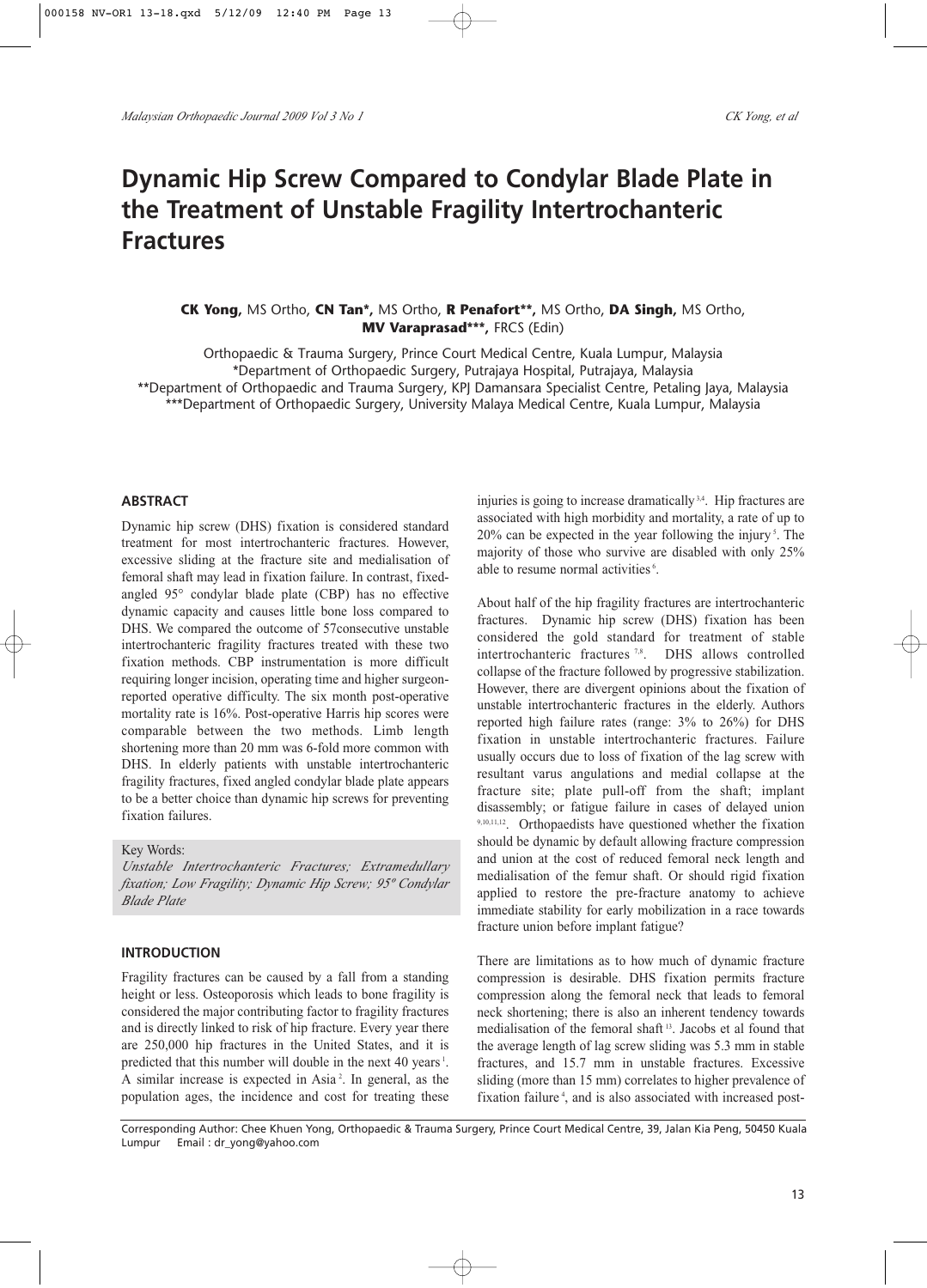# **Dynamic Hip Screw Compared to Condylar Blade Plate in the Treatment of Unstable Fragility Intertrochanteric Fractures**

## **CK Yong,** MS Ortho, **CN Tan\*,** MS Ortho, **R Penafort\*\*,** MS Ortho, **DA Singh,** MS Ortho, **MV Varaprasad\*\*\*,** FRCS (Edin)

Orthopaedic & Trauma Surgery, Prince Court Medical Centre, Kuala Lumpur, Malaysia \*Department of Orthopaedic Surgery, Putrajaya Hospital, Putrajaya, Malaysia \*\*Department of Orthopaedic and Trauma Surgery, KPJ Damansara Specialist Centre, Petaling Jaya, Malaysia \*\*\*Department of Orthopaedic Surgery, University Malaya Medical Centre, Kuala Lumpur, Malaysia

#### **ABSTRACT**

Dynamic hip screw (DHS) fixation is considered standard treatment for most intertrochanteric fractures. However, excessive sliding at the fracture site and medialisation of femoral shaft may lead in fixation failure. In contrast, fixedangled 95° condylar blade plate (CBP) has no effective dynamic capacity and causes little bone loss compared to DHS. We compared the outcome of 57consecutive unstable intertrochanteric fragility fractures treated with these two fixation methods. CBP instrumentation is more difficult requiring longer incision, operating time and higher surgeonreported operative difficulty. The six month post-operative mortality rate is 16%. Post-operative Harris hip scores were comparable between the two methods. Limb length shortening more than 20 mm was 6-fold more common with DHS. In elderly patients with unstable intertrochanteric fragility fractures, fixed angled condylar blade plate appears to be a better choice than dynamic hip screws for preventing fixation failures.

Key Words:

*Unstable Intertrochanteric Fractures; Extramedullary fixation; Low Fragility; Dynamic Hip Screw; 95º Condylar Blade Plate*

#### **INTRODUCTION**

Fragility fractures can be caused by a fall from a standing height or less. Osteoporosis which leads to bone fragility is considered the major contributing factor to fragility fractures and is directly linked to risk of hip fracture. Every year there are 250,000 hip fractures in the United States, and it is predicted that this number will double in the next 40 years<sup>1</sup>. A similar increase is expected in Asia<sup>2</sup>. In general, as the population ages, the incidence and cost for treating these injuries is going to increase dramatically<sup>3,4</sup>. Hip fractures are associated with high morbidity and mortality, a rate of up to 20% can be expected in the year following the injury<sup>5</sup>. The majority of those who survive are disabled with only 25% able to resume normal activities<sup>6</sup>.

About half of the hip fragility fractures are intertrochanteric fractures. Dynamic hip screw (DHS) fixation has been considered the gold standard for treatment of stable intertrochanteric fractures<sup>7,8</sup>. DHS allows controlled collapse of the fracture followed by progressive stabilization. However, there are divergent opinions about the fixation of unstable intertrochanteric fractures in the elderly. Authors reported high failure rates (range: 3% to 26%) for DHS fixation in unstable intertrochanteric fractures. Failure usually occurs due to loss of fixation of the lag screw with resultant varus angulations and medial collapse at the fracture site; plate pull-off from the shaft; implant disassembly; or fatigue failure in cases of delayed union 9,10,11,12. Orthopaedists have questioned whether the fixation should be dynamic by default allowing fracture compression and union at the cost of reduced femoral neck length and medialisation of the femur shaft. Or should rigid fixation applied to restore the pre-fracture anatomy to achieve immediate stability for early mobilization in a race towards fracture union before implant fatigue?

There are limitations as to how much of dynamic fracture compression is desirable. DHS fixation permits fracture compression along the femoral neck that leads to femoral neck shortening; there is also an inherent tendency towards medialisation of the femoral shaft 13. Jacobs et al found that the average length of lag screw sliding was 5.3 mm in stable fractures, and 15.7 mm in unstable fractures. Excessive sliding (more than 15 mm) correlates to higher prevalence of fixation failure<sup>4</sup>, and is also associated with increased post-

Corresponding Author: Chee Khuen Yong, Orthopaedic & Trauma Surgery, Prince Court Medical Centre, 39, Jalan Kia Peng, 50450 Kuala Lumpur Email : dr\_yong@yahoo.com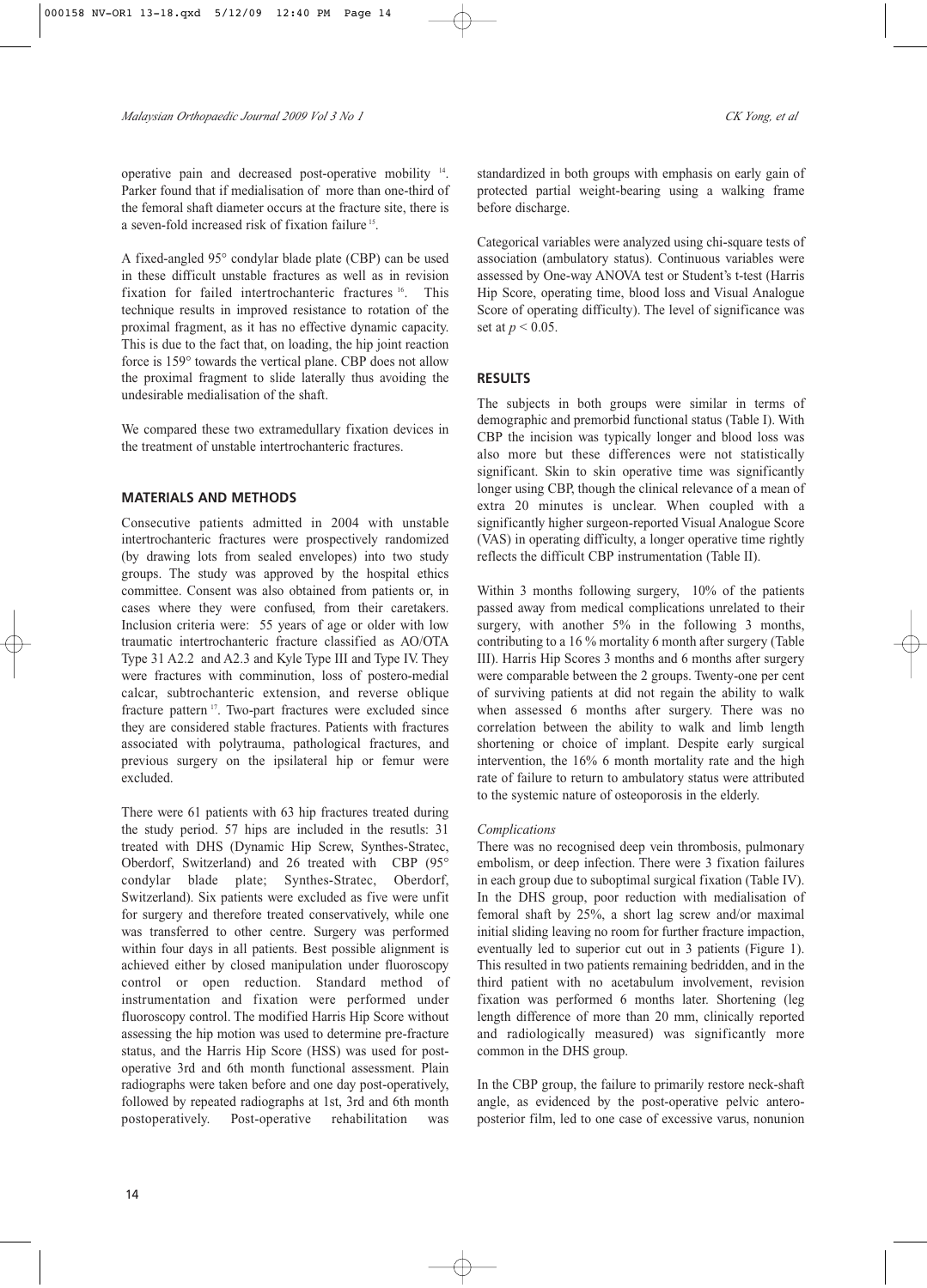operative pain and decreased post-operative mobility 14. Parker found that if medialisation of more than one-third of the femoral shaft diameter occurs at the fracture site, there is a seven-fold increased risk of fixation failure 15.

A fixed-angled 95° condylar blade plate (CBP) can be used in these difficult unstable fractures as well as in revision fixation for failed intertrochanteric fractures <sup>16</sup>. This technique results in improved resistance to rotation of the proximal fragment, as it has no effective dynamic capacity. This is due to the fact that, on loading, the hip joint reaction force is 159° towards the vertical plane. CBP does not allow the proximal fragment to slide laterally thus avoiding the undesirable medialisation of the shaft.

We compared these two extramedullary fixation devices in the treatment of unstable intertrochanteric fractures.

## **MATERIALS AND METHODS**

Consecutive patients admitted in 2004 with unstable intertrochanteric fractures were prospectively randomized (by drawing lots from sealed envelopes) into two study groups. The study was approved by the hospital ethics committee. Consent was also obtained from patients or, in cases where they were confused, from their caretakers. Inclusion criteria were: 55 years of age or older with low traumatic intertrochanteric fracture classified as AO/OTA Type 31 A2.2 and A2.3 and Kyle Type III and Type IV. They were fractures with comminution, loss of postero-medial calcar, subtrochanteric extension, and reverse oblique fracture pattern 17. Two-part fractures were excluded since they are considered stable fractures. Patients with fractures associated with polytrauma, pathological fractures, and previous surgery on the ipsilateral hip or femur were excluded.

There were 61 patients with 63 hip fractures treated during the study period. 57 hips are included in the resutls: 31 treated with DHS (Dynamic Hip Screw, Synthes-Stratec, Oberdorf, Switzerland) and 26 treated with CBP (95° condylar blade plate; Synthes-Stratec, Oberdorf, Switzerland). Six patients were excluded as five were unfit for surgery and therefore treated conservatively, while one was transferred to other centre. Surgery was performed within four days in all patients. Best possible alignment is achieved either by closed manipulation under fluoroscopy control or open reduction. Standard method of instrumentation and fixation were performed under fluoroscopy control. The modified Harris Hip Score without assessing the hip motion was used to determine pre-fracture status, and the Harris Hip Score (HSS) was used for postoperative 3rd and 6th month functional assessment. Plain radiographs were taken before and one day post-operatively, followed by repeated radiographs at 1st, 3rd and 6th month postoperatively. Post-operative rehabilitation was

standardized in both groups with emphasis on early gain of protected partial weight-bearing using a walking frame before discharge.

Categorical variables were analyzed using chi-square tests of association (ambulatory status). Continuous variables were assessed by One-way ANOVA test or Student's t-test (Harris Hip Score, operating time, blood loss and Visual Analogue Score of operating difficulty). The level of significance was set at *p* < 0.05.

## **RESULTS**

The subjects in both groups were similar in terms of demographic and premorbid functional status (Table I). With CBP the incision was typically longer and blood loss was also more but these differences were not statistically significant. Skin to skin operative time was significantly longer using CBP, though the clinical relevance of a mean of extra 20 minutes is unclear. When coupled with a significantly higher surgeon-reported Visual Analogue Score (VAS) in operating difficulty, a longer operative time rightly reflects the difficult CBP instrumentation (Table II).

Within 3 months following surgery, 10% of the patients passed away from medical complications unrelated to their surgery, with another 5% in the following 3 months, contributing to a 16 % mortality 6 month after surgery (Table III). Harris Hip Scores 3 months and 6 months after surgery were comparable between the 2 groups. Twenty-one per cent of surviving patients at did not regain the ability to walk when assessed 6 months after surgery. There was no correlation between the ability to walk and limb length shortening or choice of implant. Despite early surgical intervention, the 16% 6 month mortality rate and the high rate of failure to return to ambulatory status were attributed to the systemic nature of osteoporosis in the elderly.

### *Complications*

There was no recognised deep vein thrombosis, pulmonary embolism, or deep infection. There were 3 fixation failures in each group due to suboptimal surgical fixation (Table IV). In the DHS group, poor reduction with medialisation of femoral shaft by 25%, a short lag screw and/or maximal initial sliding leaving no room for further fracture impaction, eventually led to superior cut out in 3 patients (Figure 1). This resulted in two patients remaining bedridden, and in the third patient with no acetabulum involvement, revision fixation was performed 6 months later. Shortening (leg length difference of more than 20 mm, clinically reported and radiologically measured) was significantly more common in the DHS group.

In the CBP group, the failure to primarily restore neck-shaft angle, as evidenced by the post-operative pelvic anteroposterior film, led to one case of excessive varus, nonunion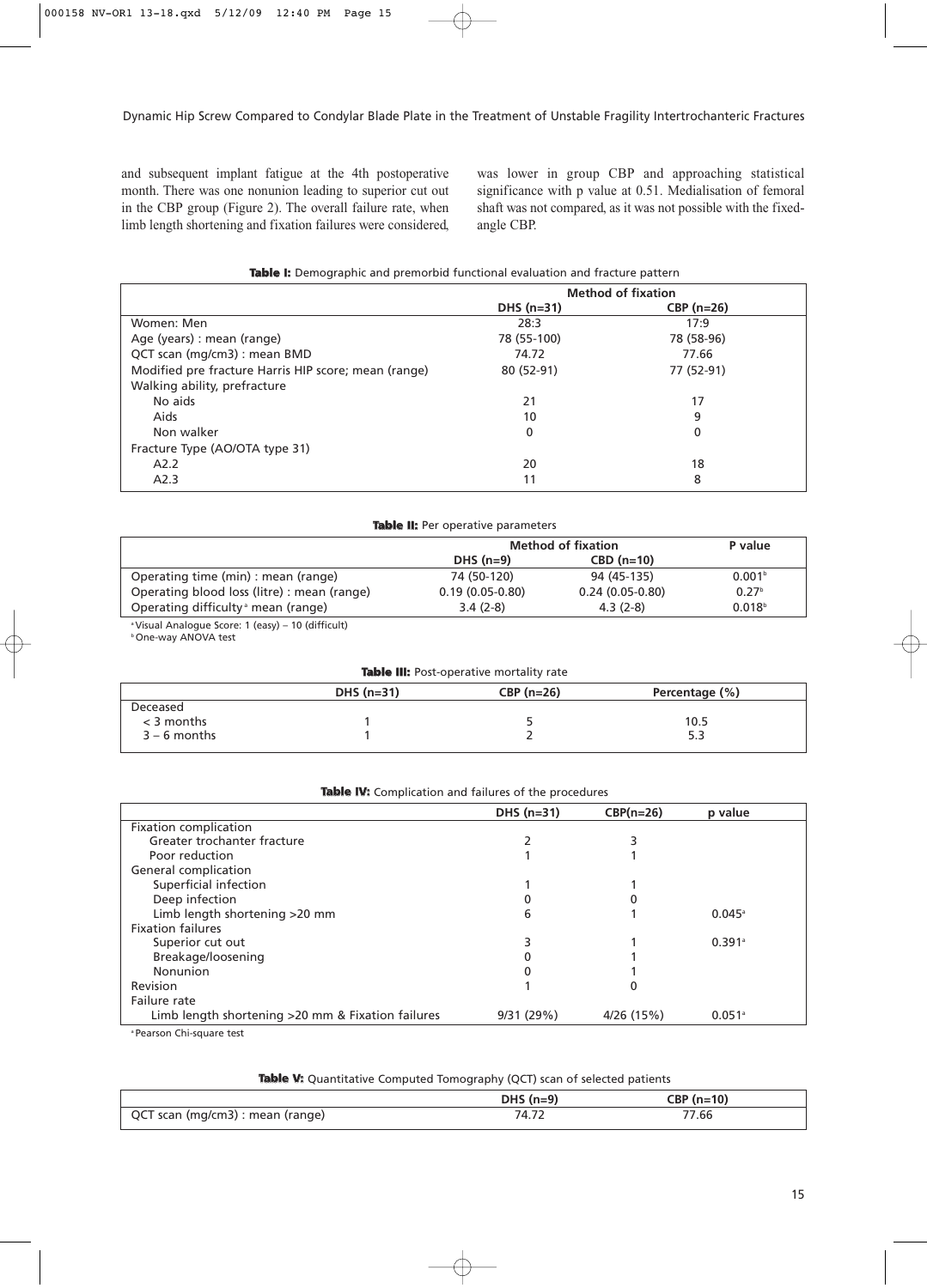and subsequent implant fatigue at the 4th postoperative month. There was one nonunion leading to superior cut out in the CBP group (Figure 2). The overall failure rate, when limb length shortening and fixation failures were considered, was lower in group CBP and approaching statistical significance with p value at 0.51. Medialisation of femoral shaft was not compared, as it was not possible with the fixedangle CBP.

|  | Table I: Demographic and premorbid functional evaluation and fracture pattern |  |  |  |  |  |  |
|--|-------------------------------------------------------------------------------|--|--|--|--|--|--|
|--|-------------------------------------------------------------------------------|--|--|--|--|--|--|

|                                                      | <b>Method of fixation</b> |             |  |
|------------------------------------------------------|---------------------------|-------------|--|
|                                                      | DHS $(n=31)$              | $CBP(n=26)$ |  |
| Women: Men                                           | 28:3                      | 17:9        |  |
| Age (years) : mean (range)                           | 78 (55-100)               | 78 (58-96)  |  |
| QCT scan (mg/cm3) : mean BMD                         | 74.72                     | 77.66       |  |
| Modified pre fracture Harris HIP score; mean (range) | 80 (52-91)                | 77 (52-91)  |  |
| Walking ability, prefracture                         |                           |             |  |
| No aids                                              | 21                        | 17          |  |
| Aids                                                 | 10                        | 9           |  |
| Non walker                                           | 0                         | 0           |  |
| Fracture Type (AO/OTA type 31)                       |                           |             |  |
| A2.2                                                 | 20                        | 18          |  |
| A2.3                                                 | 11                        | 8           |  |

| Table II: Per operative parameters                            |                   |                   |                    |  |  |  |
|---------------------------------------------------------------|-------------------|-------------------|--------------------|--|--|--|
|                                                               | P value           |                   |                    |  |  |  |
|                                                               | $DHS(n=9)$        | $CBD(n=10)$       |                    |  |  |  |
| Operating time (min) : mean (range)                           | 74 (50-120)       | 94 (45-135)       | 0.001 <sup>b</sup> |  |  |  |
| Operating blood loss (litre) : mean (range)                   | $0.19(0.05-0.80)$ | $0.24(0.05-0.80)$ | 0.27 <sup>b</sup>  |  |  |  |
| Operating difficulty nean (range)                             | $3.4(2-8)$        | $4.3(2-8)$        | 0.018 <sup>b</sup> |  |  |  |
| <sup>a</sup> Visual Analogue Score: 1 (easy) – 10 (difficult) |                   |                   |                    |  |  |  |

b One-way ANOVA test

| <b>Table III:</b> Post-operative mortality rate |              |             |                |  |  |  |
|-------------------------------------------------|--------------|-------------|----------------|--|--|--|
|                                                 | DHS $(n=31)$ | $CBP(n=26)$ | Percentage (%) |  |  |  |
| Deceased                                        |              |             |                |  |  |  |
| $<$ 3 months                                    |              |             | 10.5           |  |  |  |
| $3 - 6$ months                                  |              |             | 5.3            |  |  |  |

|                                                   | DHS $(n=31)$ | $CBP(n=26)$ | p value              |
|---------------------------------------------------|--------------|-------------|----------------------|
| Fixation complication                             |              |             |                      |
| Greater trochanter fracture                       |              |             |                      |
| Poor reduction                                    |              |             |                      |
| General complication                              |              |             |                      |
| Superficial infection                             |              |             |                      |
| Deep infection                                    |              |             |                      |
| Limb length shortening >20 mm                     | 6            |             | $0.045^{\circ}$      |
| <b>Fixation failures</b>                          |              |             |                      |
| Superior cut out                                  |              |             | $0.391$ <sup>a</sup> |
| Breakage/loosening                                |              |             |                      |
| Nonunion                                          |              |             |                      |
| Revision                                          |              |             |                      |
| Failure rate                                      |              |             |                      |
| Limb length shortening >20 mm & Fixation failures | 9/31(29%)    | 4/26 (15%)  | $0.051$ <sup>a</sup> |

a Pearson Chi-square test

|  |  |  |  | Table V: Quantitative Computed Tomography (QCT) scan of selected patients |  |  |  |  |
|--|--|--|--|---------------------------------------------------------------------------|--|--|--|--|
|--|--|--|--|---------------------------------------------------------------------------|--|--|--|--|

|                                  | $DHS(n=9)$ | $CBP(n=10)$ |
|----------------------------------|------------|-------------|
| QCT scan (mg/cm3) : mean (range) | 74.72      | 7.66        |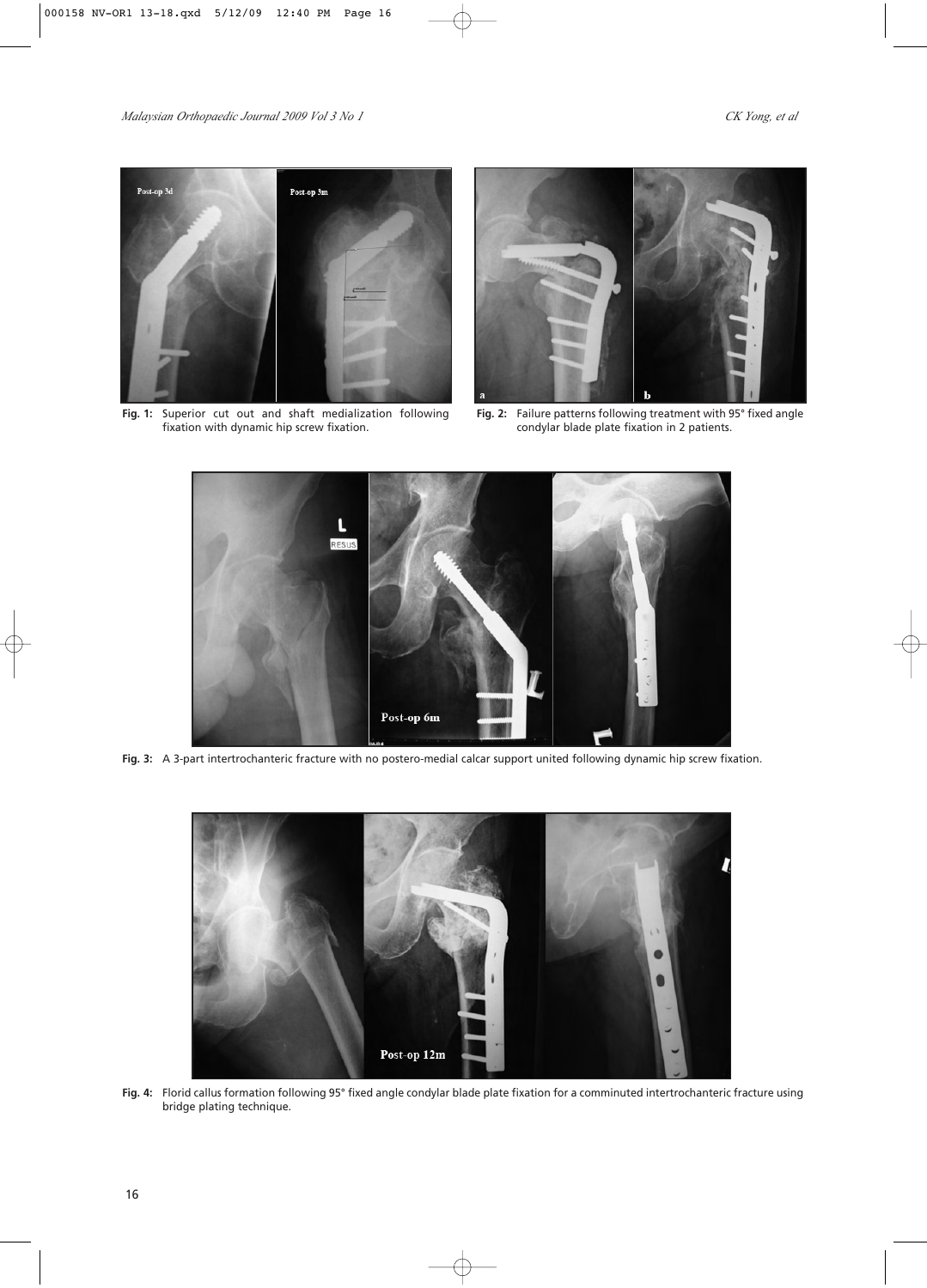

**Fig. 1:** Superior cut out and shaft medialization following fixation with dynamic hip screw fixation.



**Fig. 2:** Failure patterns following treatment with 95° fixed angle condylar blade plate fixation in 2 patients.



**Fig. 3:** A 3-part intertrochanteric fracture with no postero-medial calcar support united following dynamic hip screw fixation.



**Fig. 4:** Florid callus formation following 95° fixed angle condylar blade plate fixation for a comminuted intertrochanteric fracture using bridge plating technique.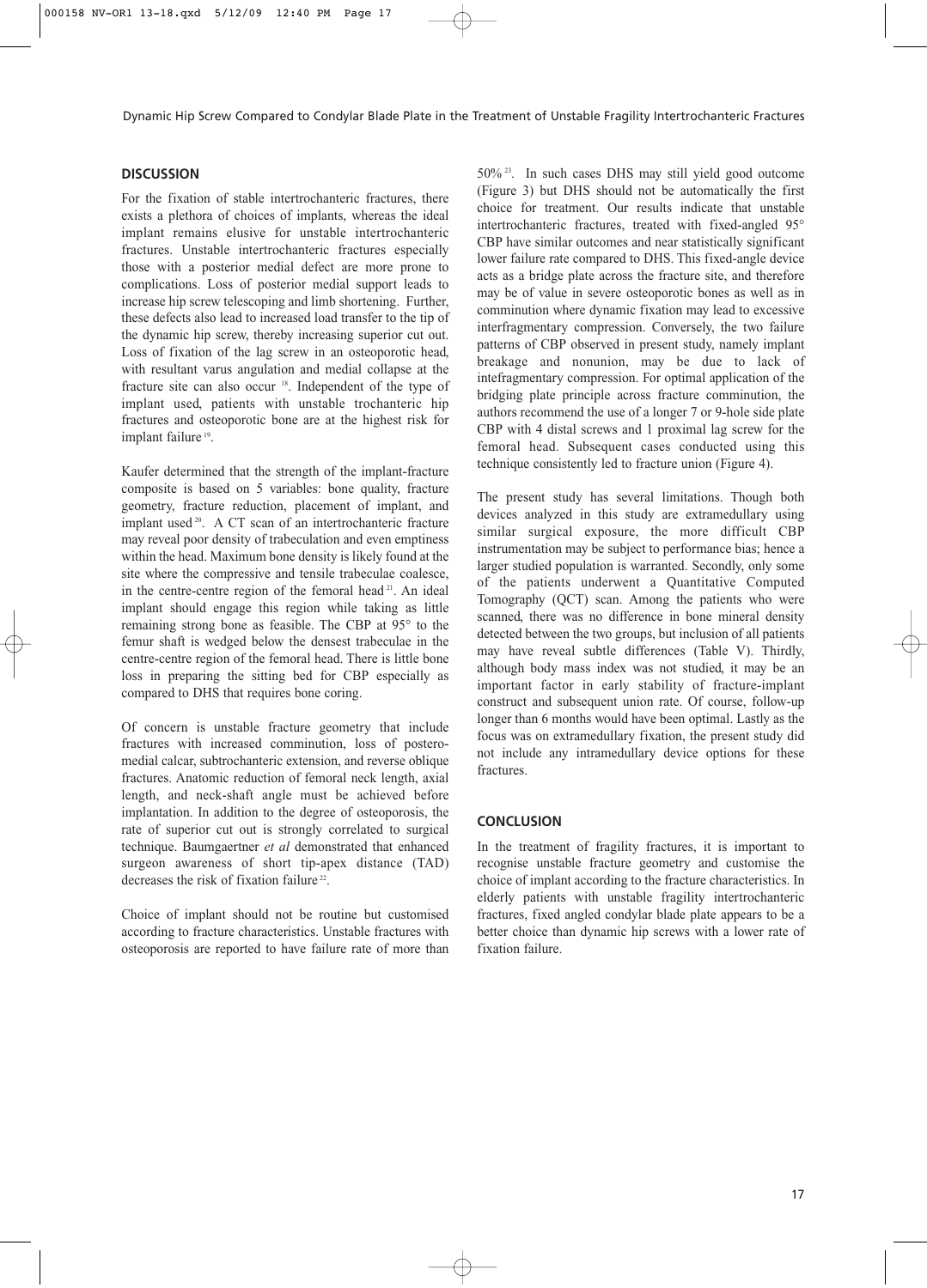# **DISCUSSION**

For the fixation of stable intertrochanteric fractures, there exists a plethora of choices of implants, whereas the ideal implant remains elusive for unstable intertrochanteric fractures. Unstable intertrochanteric fractures especially those with a posterior medial defect are more prone to complications. Loss of posterior medial support leads to increase hip screw telescoping and limb shortening. Further, these defects also lead to increased load transfer to the tip of the dynamic hip screw, thereby increasing superior cut out. Loss of fixation of the lag screw in an osteoporotic head, with resultant varus angulation and medial collapse at the fracture site can also occur 18. Independent of the type of implant used, patients with unstable trochanteric hip fractures and osteoporotic bone are at the highest risk for implant failure<sup>19</sup>.

Kaufer determined that the strength of the implant-fracture composite is based on 5 variables: bone quality, fracture geometry, fracture reduction, placement of implant, and implant used <sup>20</sup>. A CT scan of an intertrochanteric fracture may reveal poor density of trabeculation and even emptiness within the head. Maximum bone density is likely found at the site where the compressive and tensile trabeculae coalesce, in the centre-centre region of the femoral head <sup>21</sup>. An ideal implant should engage this region while taking as little remaining strong bone as feasible. The CBP at 95° to the femur shaft is wedged below the densest trabeculae in the centre-centre region of the femoral head. There is little bone loss in preparing the sitting bed for CBP especially as compared to DHS that requires bone coring.

Of concern is unstable fracture geometry that include fractures with increased comminution, loss of posteromedial calcar, subtrochanteric extension, and reverse oblique fractures. Anatomic reduction of femoral neck length, axial length, and neck-shaft angle must be achieved before implantation. In addition to the degree of osteoporosis, the rate of superior cut out is strongly correlated to surgical technique. Baumgaertner *et al* demonstrated that enhanced surgeon awareness of short tip-apex distance (TAD) decreases the risk of fixation failure<sup>22</sup>.

Choice of implant should not be routine but customised according to fracture characteristics. Unstable fractures with osteoporosis are reported to have failure rate of more than 50% 23. In such cases DHS may still yield good outcome (Figure 3) but DHS should not be automatically the first choice for treatment. Our results indicate that unstable intertrochanteric fractures, treated with fixed-angled 95° CBP have similar outcomes and near statistically significant lower failure rate compared to DHS. This fixed-angle device acts as a bridge plate across the fracture site, and therefore may be of value in severe osteoporotic bones as well as in comminution where dynamic fixation may lead to excessive interfragmentary compression. Conversely, the two failure patterns of CBP observed in present study, namely implant breakage and nonunion, may be due to lack of intefragmentary compression. For optimal application of the bridging plate principle across fracture comminution, the authors recommend the use of a longer 7 or 9-hole side plate CBP with 4 distal screws and 1 proximal lag screw for the femoral head. Subsequent cases conducted using this technique consistently led to fracture union (Figure 4).

The present study has several limitations. Though both devices analyzed in this study are extramedullary using similar surgical exposure, the more difficult CBP instrumentation may be subject to performance bias; hence a larger studied population is warranted. Secondly, only some of the patients underwent a Quantitative Computed Tomography (QCT) scan. Among the patients who were scanned, there was no difference in bone mineral density detected between the two groups, but inclusion of all patients may have reveal subtle differences (Table V). Thirdly, although body mass index was not studied, it may be an important factor in early stability of fracture-implant construct and subsequent union rate. Of course, follow-up longer than 6 months would have been optimal. Lastly as the focus was on extramedullary fixation, the present study did not include any intramedullary device options for these fractures.

#### **CONCLUSION**

In the treatment of fragility fractures, it is important to recognise unstable fracture geometry and customise the choice of implant according to the fracture characteristics. In elderly patients with unstable fragility intertrochanteric fractures, fixed angled condylar blade plate appears to be a better choice than dynamic hip screws with a lower rate of fixation failure.